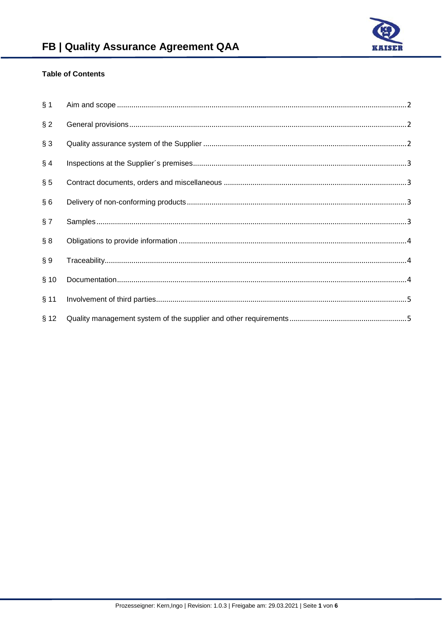

# **Table of Contents**

| § 1    |  |
|--------|--|
| $§$ 2  |  |
| § 3    |  |
| § 4    |  |
| § 5    |  |
| §6     |  |
| § 7    |  |
| § 8    |  |
| § 9    |  |
| § 10   |  |
| $§$ 11 |  |
| § 12   |  |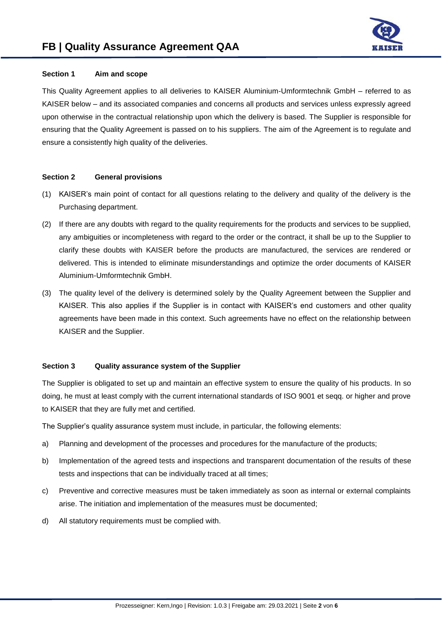

# **Section 1 Aim and scope**

This Quality Agreement applies to all deliveries to KAISER Aluminium-Umformtechnik GmbH – referred to as KAISER below – and its associated companies and concerns all products and services unless expressly agreed upon otherwise in the contractual relationship upon which the delivery is based. The Supplier is responsible for ensuring that the Quality Agreement is passed on to his suppliers. The aim of the Agreement is to regulate and ensure a consistently high quality of the deliveries.

# **Section 2 General provisions**

- (1) KAISER's main point of contact for all questions relating to the delivery and quality of the delivery is the Purchasing department.
- (2) If there are any doubts with regard to the quality requirements for the products and services to be supplied, any ambiguities or incompleteness with regard to the order or the contract, it shall be up to the Supplier to clarify these doubts with KAISER before the products are manufactured, the services are rendered or delivered. This is intended to eliminate misunderstandings and optimize the order documents of KAISER Aluminium-Umformtechnik GmbH.
- (3) The quality level of the delivery is determined solely by the Quality Agreement between the Supplier and KAISER. This also applies if the Supplier is in contact with KAISER's end customers and other quality agreements have been made in this context. Such agreements have no effect on the relationship between KAISER and the Supplier.

# **Section 3 Quality assurance system of the Supplier**

The Supplier is obligated to set up and maintain an effective system to ensure the quality of his products. In so doing, he must at least comply with the current international standards of ISO 9001 et seqq. or higher and prove to KAISER that they are fully met and certified.

The Supplier's quality assurance system must include, in particular, the following elements:

- a) Planning and development of the processes and procedures for the manufacture of the products;
- b) Implementation of the agreed tests and inspections and transparent documentation of the results of these tests and inspections that can be individually traced at all times;
- c) Preventive and corrective measures must be taken immediately as soon as internal or external complaints arise. The initiation and implementation of the measures must be documented;
- d) All statutory requirements must be complied with.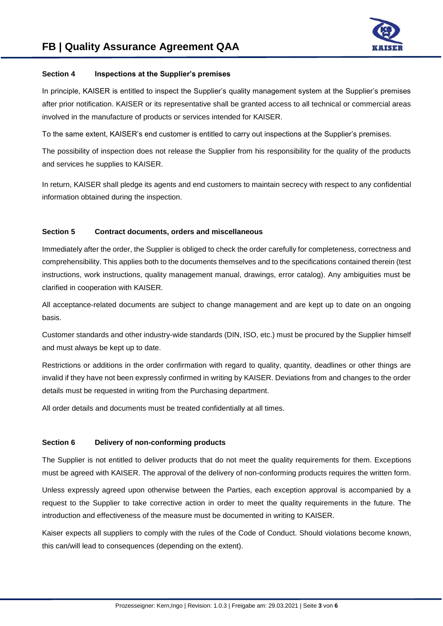

# **Section 4 Inspections at the Supplier's premises**

In principle, KAISER is entitled to inspect the Supplier's quality management system at the Supplier's premises after prior notification. KAISER or its representative shall be granted access to all technical or commercial areas involved in the manufacture of products or services intended for KAISER.

To the same extent, KAISER's end customer is entitled to carry out inspections at the Supplier's premises.

The possibility of inspection does not release the Supplier from his responsibility for the quality of the products and services he supplies to KAISER.

In return, KAISER shall pledge its agents and end customers to maintain secrecy with respect to any confidential information obtained during the inspection.

# **Section 5 Contract documents, orders and miscellaneous**

Immediately after the order, the Supplier is obliged to check the order carefully for completeness, correctness and comprehensibility. This applies both to the documents themselves and to the specifications contained therein (test instructions, work instructions, quality management manual, drawings, error catalog). Any ambiguities must be clarified in cooperation with KAISER.

All acceptance-related documents are subject to change management and are kept up to date on an ongoing basis.

Customer standards and other industry-wide standards (DIN, ISO, etc.) must be procured by the Supplier himself and must always be kept up to date.

Restrictions or additions in the order confirmation with regard to quality, quantity, deadlines or other things are invalid if they have not been expressly confirmed in writing by KAISER. Deviations from and changes to the order details must be requested in writing from the Purchasing department.

All order details and documents must be treated confidentially at all times.

# **Section 6 Delivery of non-conforming products**

The Supplier is not entitled to deliver products that do not meet the quality requirements for them. Exceptions must be agreed with KAISER. The approval of the delivery of non-conforming products requires the written form.

Unless expressly agreed upon otherwise between the Parties, each exception approval is accompanied by a request to the Supplier to take corrective action in order to meet the quality requirements in the future. The introduction and effectiveness of the measure must be documented in writing to KAISER.

Kaiser expects all suppliers to comply with the rules of the Code of Conduct. Should violations become known, this can/will lead to consequences (depending on the extent).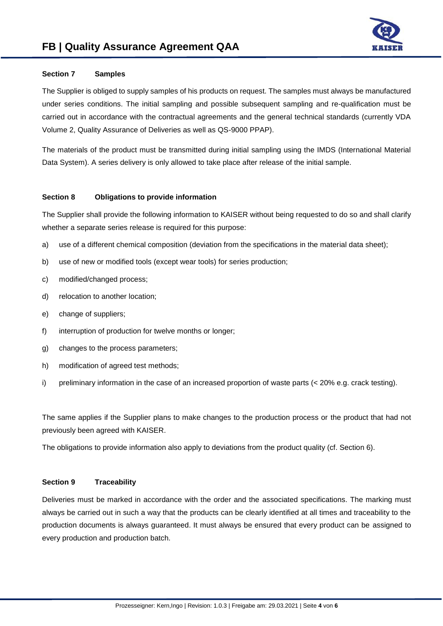

# **Section 7 Samples**

The Supplier is obliged to supply samples of his products on request. The samples must always be manufactured under series conditions. The initial sampling and possible subsequent sampling and re-qualification must be carried out in accordance with the contractual agreements and the general technical standards (currently VDA Volume 2, Quality Assurance of Deliveries as well as QS-9000 PPAP).

The materials of the product must be transmitted during initial sampling using the IMDS (International Material Data System). A series delivery is only allowed to take place after release of the initial sample.

#### **Section 8 Obligations to provide information**

The Supplier shall provide the following information to KAISER without being requested to do so and shall clarify whether a separate series release is required for this purpose:

- a) use of a different chemical composition (deviation from the specifications in the material data sheet);
- b) use of new or modified tools (except wear tools) for series production;
- c) modified/changed process;
- d) relocation to another location;
- e) change of suppliers;
- f) interruption of production for twelve months or longer;
- g) changes to the process parameters;
- h) modification of agreed test methods;
- i) preliminary information in the case of an increased proportion of waste parts (< 20% e.g. crack testing).

The same applies if the Supplier plans to make changes to the production process or the product that had not previously been agreed with KAISER.

The obligations to provide information also apply to deviations from the product quality (cf. Section 6).

#### **Section 9 Traceability**

Deliveries must be marked in accordance with the order and the associated specifications. The marking must always be carried out in such a way that the products can be clearly identified at all times and traceability to the production documents is always guaranteed. It must always be ensured that every product can be assigned to every production and production batch.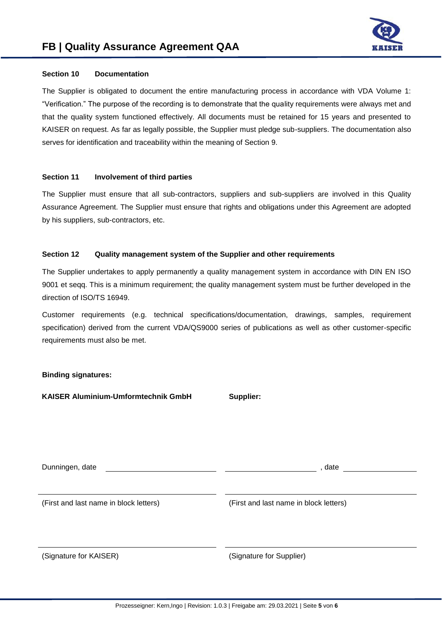

# **Section 10 Documentation**

The Supplier is obligated to document the entire manufacturing process in accordance with VDA Volume 1: "Verification." The purpose of the recording is to demonstrate that the quality requirements were always met and that the quality system functioned effectively. All documents must be retained for 15 years and presented to KAISER on request. As far as legally possible, the Supplier must pledge sub-suppliers. The documentation also serves for identification and traceability within the meaning of Section 9.

# **Section 11 Involvement of third parties**

The Supplier must ensure that all sub-contractors, suppliers and sub-suppliers are involved in this Quality Assurance Agreement. The Supplier must ensure that rights and obligations under this Agreement are adopted by his suppliers, sub-contractors, etc.

# **Section 12 Quality management system of the Supplier and other requirements**

The Supplier undertakes to apply permanently a quality management system in accordance with DIN EN ISO 9001 et seqq. This is a minimum requirement; the quality management system must be further developed in the direction of ISO/TS 16949.

Customer requirements (e.g. technical specifications/documentation, drawings, samples, requirement specification) derived from the current VDA/QS9000 series of publications as well as other customer-specific requirements must also be met.

# **Binding signatures:**

**KAISER Aluminium-Umformtechnik GmbH Supplier:**

| Dunningen, date                        | , date                                 |  |
|----------------------------------------|----------------------------------------|--|
|                                        |                                        |  |
| (First and last name in block letters) | (First and last name in block letters) |  |
|                                        |                                        |  |
|                                        |                                        |  |
| (Signature for KAISER)                 | (Signature for Supplier)               |  |